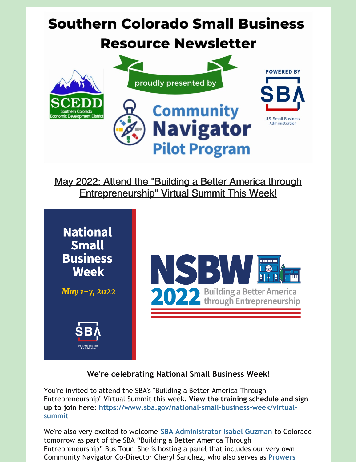# **Southern Colorado Small Business Resource Newsletter POWERED BY** proudly presented by **Community** U.S. Small Business Administration **Navigator**

May 2022: Attend the "Building a Better America through Entrepreneurship" Virtual Summit This Week!

**Pilot Program** 



### **We're celebrating National Small Business Week!**

You're invited to attend the SBA's "Building a Better America Through Entrepreneurship" Virtual Summit this week. **View the training schedule and sign up to join here: [https://www.sba.gov/national-small-business-week/virtual](https://www.sba.gov/national-small-business-week/virtual-summit)summit**

We're also very excited to welcome **SBA [Administrator](https://www.facebook.com/101205618695982) Isabel Guzman** to Colorado tomorrow as part of the SBA "Building a Better America Through Entrepreneurship" Bus Tour. She is hosting a panel that includes our very own Community Navigator [Co-Director](https://www.facebook.com/511294938984861) Cheryl Sanchez, who also serves as **Prowers**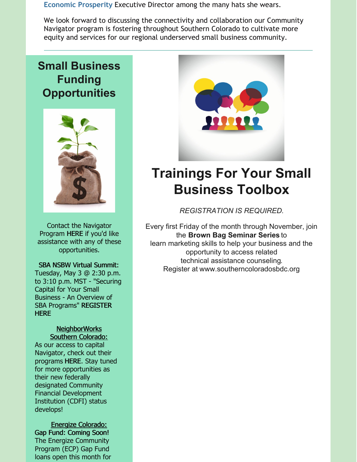**Economic Prosperity** Executive Director among the many hats she wears.

We look forward to discussing the connectivity and collaboration our Community Navigator program is fostering throughout Southern Colorado to cultivate more equity and services for our regional underserved small business community.

## **Small Business Funding Opportunities**



Contact the Navigator Program [HERE](https://bit.ly/2022-Navigator-Client-Intake-Form) if you'd like assistance with any of these opportunities.

SBA NSBW Virtual Summit: Tuesday, May 3 @ 2:30 p.m. to 3:10 p.m. MST - "Securing Capital for Your Small Business - An Overview of SBA [Programs"](https://onlinexperiences.com/scripts/Server.nxp?LASCmd=AI:4;F:QS!10100&ShowUUID=D3562669-A93F-42F9-A310-0AB7975259F8) REGISTER **HERE** 

#### NeighborWorks Southern Colorado:

As our access to capital Navigator, check out their programs [HERE](https://nwsoco.org/what-we-do/community-lending/business-loans.html). Stay tuned for more opportunities as their new federally designated Community Financial Development Institution (CDFI) status develops!

Energize Colorado: Gap Fund: Coming Soon! The Energize Community Program (ECP) Gap Fund loans open this month for



## **Trainings For Your Small Business Toolbox**

*REGISTRATION IS REQUIRED.*

Every first Friday of the month through November, join the **Brown Bag Seminar Series** to learn marketing skills to help your business and the opportunity to access related technical assistance counseling. Register at [www.southerncoloradosbdc.org](http://www.southerncoloradosbdc.org)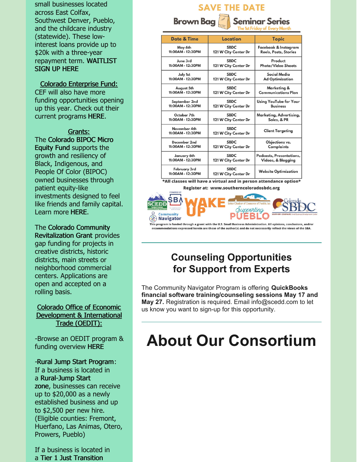small businesses located across East Colfax, Southwest Denver, Pueblo, and the childcare industry (statewide). These lowinterest loans provide up to \$20k with a three-year [repayment](https://www.startupspace.app/dynamic-survey/MTU2NA==?utm_source=website&utm_medium=partners&utm_campaign=reg_form#googtrans(en)) term. WAITLIST SIGN UP HERE

Colorado Enterprise Fund:

CEF will also have more funding opportunities opening up this year. Check out their current programs [HERE](https://coloradoenterprisefund.org/Loans).

Grants: The Colorado BIPOC Micro Equity Fund supports the growth and resiliency of Black, Indigenous, and People Of Color (BIPOC) owned businesses through patient equity-like investments designed to feel like friends and family capital. Learn more [HERE](https://www.liscstrategicinvestments.org/co-bipoc-micro-equity-fund).

The Colorado Community [Revitalization](https://oedit.colorado.gov/colorado-community-revitalization-grant) Grant provides gap funding for projects in creative districts, historic districts, main streets or neighborhood commercial centers. Applications are open and accepted on a rolling basis.

#### Colorado Office of Economic Development & International Trade (OEDIT):

-Browse an OEDIT program & funding overview [HERE](https://oedit.colorado.gov/programs-and-funding?Programs%5B0%5D=i_am_looking_for_%3Afinancial support)

-Rural Jump Start Program: If a business is located in a [Rural-Jump](https://oedit.colorado.gov/rural-jump-start-grant-and-tax-credit#rjscounties) Start zone, businesses can receive up to \$20,000 as a newly established business and up to \$2,500 per new hire. (Eligible counties: Fremont, Huerfano, Las Animas, Otero, Prowers, Pueblo)

If a business is located in a Tier 1 Just [Transition](https://oedit.colorado.gov/rural-jump-start-grant-and-tax-credit#justtransitioncounties)

## **SAVE THE DATE Brown Baa Seminar Series**

| Date & Time                       | Location                            | <b>Topic</b>                  |
|-----------------------------------|-------------------------------------|-------------------------------|
| May 6th                           | <b>SBDC</b>                         | Facebook & Instagram          |
| 11:00AM - 12:30PM                 | 121 W City Center Dr                | Reels, Posts, Stories         |
| June 3rd                          | <b>SRDC</b>                         | Product                       |
| 11:00AM - 12:30PM                 | 121 W City Center Dr                | <b>Photo/Video Shoots</b>     |
| July 1st                          | <b>SBDC</b>                         | Social Media                  |
| 11:00AM - 12:30PM                 | 121 W City Center Dr                | <b>Ad Optimization</b>        |
| August 5th                        | <b>SBDC</b>                         | Marketing &                   |
| 11:00AM - 12:30PM                 | 121 W City Center Dr                | <b>Communications Plan</b>    |
| September 2nd                     | <b>SBDC</b>                         | <b>Using YouTube for Your</b> |
| 11:00AM - 12:30PM                 | 121 W City Center Dr                | <b>Business</b>               |
| October 7th                       | <b>SBDC</b>                         | Marketing, Advertising,       |
| 11:00AM - 12:30PM                 | 121 W City Center Dr                | Sales, & PR                   |
| November 4th<br>11:00AM - 12:30PM | <b>SBDC</b><br>121 W City Center Dr | <b>Client Targeting</b>       |
| December 2nd                      | <b>SBDC</b>                         | Objections vs.                |
| 11:00AM - 12:30PM                 | 121 W City Center Dr                | Complaints                    |
| January 6th                       | <b>SBDC</b>                         | Podcasts, Presentations,      |
| 11:00AM - 12:30PM                 | 121 W City Center Dr                | Videos, & Blogging            |
| February 3rd<br>11:00AM - 12:30PM | <b>SBDC</b><br>121 W City Center Dr | <b>Website Optimization</b>   |

\*All classes will have a virtual and in person attendance option\* Register at: www.southerncoloradosbdc.org



This program is funded through a grant with the U.S. Small Business Administration. All opinions, conclusions, and/or mendations expressed herein are those of the author(s) and do not necessarily reflect the views of the SBA.

## **Counseling Opportunities for Support from Experts**

The Community Navigator Program is offering **QuickBooks financial software training/counseling sessions May 17 and May 27.** Registration is required. Email info@scedd.com to let us know you want to sign-up for this opportunity.

# **About Our Consortium**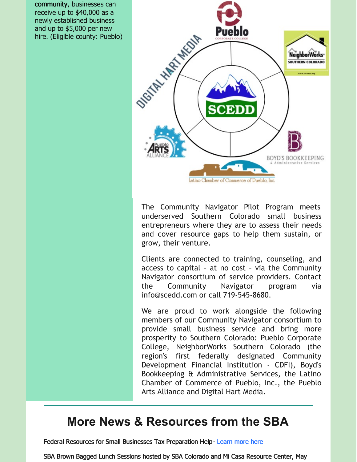community, businesses can receive up to \$40,000 as a newly established business and up to \$5,000 per new hire. (Eligible county: Pueblo)



The Community Navigator Pilot Program meets underserved Southern Colorado small business entrepreneurs where they are to assess their needs and cover resource gaps to help them sustain, or grow, their venture.

Clients are connected to training, counseling, and access to capital – at no cost – via the Community Navigator consortium of service providers. Contact the Community Navigator program via info@scedd.com or call 719-545-8680.

We are proud to work alongside the following members of our Community Navigator consortium to provide small business service and bring more prosperity to Southern Colorado: Pueblo Corporate College, NeighborWorks Southern Colorado (the region's first federally designated Community Development Financial Institution - CDFI), Boyd's Bookkeeping & Administrative Services, the Latino Chamber of Commerce of Pueblo, Inc., the Pueblo Arts Alliance and Digital Hart Media.

## **More News & Resources from the SBA**

Federal Resources for Small Businesses Tax Preparation Help- [Learn](https://www.covid-sb.org/resource/tax-credit-filing) more here

SBA Brown Bagged Lunch Sessions hosted by SBA Colorado and Mi Casa Resource Center, May